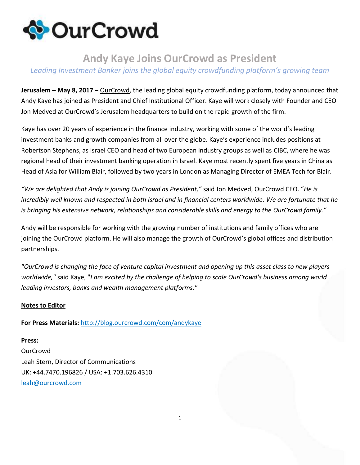

## **Andy Kaye Joins OurCrowd as President**

## *Leading Investment Banker joins the global equity crowdfunding platform's growing team*

**Jerusalem – May 8, 2017 –** [OurCrowd,](http://content.ourcrowd.com/e1t/c/*W35yXS19b8g3YVVTNrz11J2lB0/*W4JKDDd5D_ZDgW3QB3f78Lfb910/5/f18dQhb0Smj18YXN5qW7RrsMX6ghkRDVWs4R0583DJdW5r8vy28yym7NN5yMHKmQJsLGW5ydnGG8tzLyDW5y5jh-1rfXlzW1kRpb77YkMvXMQBV0KXvfFKW5_VsBJ6dqF0ZVXrc8z3_t0gLW32Gf2Q4cBzLvW49z-4P2MV0XLVbmhm67z2NMJW7vRb9730T_rPW2Vv3cs1G8MxxW1Bb4rM5b66xFW2H82zn8-hp1qW1Q_9q58QFk2tVlT5Sm1MkSW1W49w8qw7BxJjYW7yN__26rRxymW2Ft97t6BKpsZW8RrkBB7tpdV7W7vqkTd4_cRWdW8VVHy67BQpHgW7p9FXF1KSr17W2Kkx017nDN5DVhvnG93T03vyN8csGDVD2JF5W7sQ5183nGhbbW3bSsPH5rQS9HN190LT_42c_8W3nh5kJ5vXGkCW8VkfPk80hG7sW90lZ2j42KL6TW41BsKG4dbLXSW7K_dyb3wPByYW3wqsqb4r9RFg111) the leading global equity crowdfunding platform, today announced that Andy Kaye has joined as President and Chief Institutional Officer. Kaye will work closely with Founder and CEO Jon Medved at OurCrowd's Jerusalem headquarters to build on the rapid growth of the firm.

Kaye has over 20 years of experience in the finance industry, working with some of the world's leading investment banks and growth companies from all over the globe. Kaye's experience includes positions at Robertson Stephens, as Israel CEO and head of two European industry groups as well as CIBC, where he was regional head of their investment banking operation in Israel. Kaye most recently spent five years in China as Head of Asia for William Blair, followed by two years in London as Managing Director of EMEA Tech for Blair.

*"We are delighted that Andy is joining OurCrowd as President,"* said Jon Medved, OurCrowd CEO. "*He is incredibly well known and respected in both Israel and in financial centers worldwide. We are fortunate that he is bringing his extensive network, relationships and considerable skills and energy to the OurCrowd family."*

Andy will be responsible for working with the growing number of institutions and family offices who are joining the OurCrowd platform. He will also manage the growth of OurCrowd's global offices and distribution partnerships.

*"OurCrowd is changing the face of venture capital investment and opening up this asset class to new players worldwide,"* said Kaye, "*I am excited by the challenge of helping to scale OurCrowd's business among world leading investors, banks and wealth management platforms."*

## **Notes to Editor**

**For Press Materials:** [http://blog.ourcrowd.com/com/andykaye](http://content.ourcrowd.com/e1t/c/*W35yXS19b8g3YVVTNrz11J2lB0/*W5HlF6b2CZXpRW2CS0SM8Fr7_f0/5/f18dQhb0S5fh6BGlLxVXZC6h4c53ndW59B_zR3rTl3bW5q9kQw8B-__YN67kqNkQJsLGW5ydnGG8tzLvwW6xxZFn2NhFWTW6hZWzG1HltsQW2VtC3z7t5r0hW1G5m891Jr0FTW1tv_hc2RgwxkV6v35N7_rhZHW3Lqnm_8q5FTlW6skKw264QZb6W8rvwMT4DPlQ2W5Rpkcd3bqvN6VRFkK45G18KhW3y9KYQ3dgtM7W8dLYYp3F1JkbW3105_25sRxdDN36rYh3DjxZxW5s9yJ43yxTC9W3Qrvn233TJq-N8wVnD4DK3pCW3yxjKm67k9Z2W5FFRGC8k4P57W8f5M0Z3D8NdqW3vbqqP5hWTCkW8gzRbp8zrqxbVXbRfC6wydXJW7SPnSm4M1133W4H_8kQ2MfqSPW1krTQf1S1_--W7KBkHW8Vj2fcVd8y6q1QN-gBW2gyDYX4lMSjtW56fsMZ6_4YL5W3ZRLd35_72xXW7Mg8411BcFB6vVL6QTnyBf4kQSfr02)

**Press: OurCrowd** Leah Stern, Director of Communications UK: +44.7470.196826 / USA: +1.703.626.4310 [leah@ourcrowd.com](mailto:leah@ourcrowd.com)